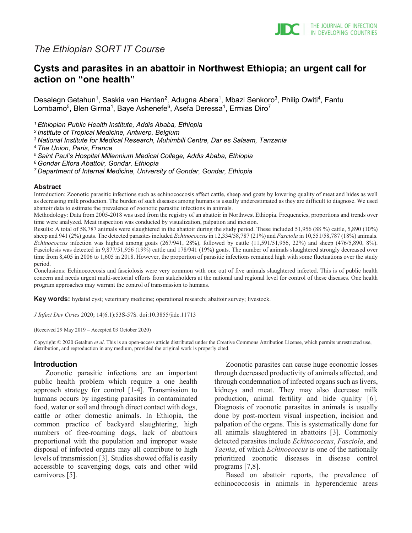

# *The Ethiopian SORT IT Course*

# **Cysts and parasites in an abattoir in Northwest Ethiopia; an urgent call for action on "one health"**

Desalegn Getahun<sup>1</sup>, Saskia van Henten<sup>2</sup>, Adugna Abera<sup>1</sup>, Mbazi Senkoro<sup>3</sup>, Philip Owiti<sup>4</sup>, Fantu Lombamo<sup>5</sup>, Blen Girma<sup>1</sup>, Baye Ashenefe<sup>6</sup>, Asefa Deressa<sup>1</sup>, Ermias Diro<sup>7</sup>

*1 Ethiopian Public Health Institute, Addis Ababa, Ethiopia*

*2 Institute of Tropical Medicine, Antwerp, Belgium* 

*3 National Institute for Medical Research, Muhimbili Centre, Dar es Salaam, Tanzania*

*4 The Union, Paris, France*

*5 Saint Paul's Hospital Millennium Medical College, Addis Ababa, Ethiopia*

*6 Gondar Elfora Abattoir, Gondar, Ethiopia*

*7 Department of Internal Medicine, University of Gondar, Gondar, Ethiopia*

#### **Abstract**

Introduction: Zoonotic parasitic infections such as echinococcosis affect cattle, sheep and goats by lowering quality of meat and hides as well as decreasing milk production. The burden of such diseases among humans is usually underestimated as they are difficult to diagnose. We used abattoir data to estimate the prevalence of zoonotic parasitic infections in animals.

Methodology: Data from 2005-2018 was used from the registry of an abattoir in Northwest Ethiopia. Frequencies, proportions and trends over time were analyzed. Meat inspection was conducted by visualization, palpation and incision.

Results: A total of 58,787 animals were slaughtered in the abattoir during the study period. These included 51,956 (88 %) cattle, 5,890 (10%) sheep and 941 (2%) goats. The detected parasites included *Echinococcus*in 12,334/58,787 (21%) and *Fasciola* in 10,551/58,787 (18%) animals. *Echinococcus* infection was highest among goats (267/941, 28%), followed by cattle (11,591/51,956, 22%) and sheep (476/5,890, 8%). Fasciolosis was detected in 9,877/51,956 (19%) cattle and 178/941 (19%) goats. The number of animals slaughtered strongly decreased over time from 8,405 in 2006 to 1,605 in 2018. However, the proportion of parasitic infections remained high with some fluctuations over the study period.

Conclusions: Echinococcosis and fasciolosis were very common with one out of five animals slaughtered infected. This is of public health concern and needs urgent multi-sectorial efforts from stakeholders at the national and regional level for control of these diseases. One health program approaches may warrant the control of transmission to humans.

**Key words:** hydatid cyst; veterinary medicine; operational research; abattoir survey; livestock.

*J Infect Dev Ctries* 2020; 14(6.1):53S-57S*.* doi:10.3855/jidc.11713

(Received 29 May 2019 – Accepted 03 October 2020)

Copyright © 2020 Getahun *et al*. This is an open-access article distributed under the Creative Commons Attribution License, which permits unrestricted use, distribution, and reproduction in any medium, provided the original work is properly cited.

#### **Introduction**

Zoonotic parasitic infections are an important public health problem which require a one health approach strategy for control [1-4]. Transmission to humans occurs by ingesting parasites in contaminated food, water or soil and through direct contact with dogs, cattle or other domestic animals. In Ethiopia, the common practice of backyard slaughtering, high numbers of free-roaming dogs, lack of abattoirs proportional with the population and improper waste disposal of infected organs may all contribute to high levels of transmission [3]. Studies showed offal is easily accessible to scavenging dogs, cats and other wild carnivores [5].

Zoonotic parasites can cause huge economic losses through decreased productivity of animals affected, and through condemnation of infected organs such as livers, kidneys and meat. They may also decrease milk production, animal fertility and hide quality [6]. Diagnosis of zoonotic parasites in animals is usually done by post-mortem visual inspection, incision and palpation of the organs. This is systematically done for all animals slaughtered in abattoirs [3]. Commonly detected parasites include *Echinococcus*, *Fasciola*, and *Taenia*, of which *Echinococcus* is one of the nationally prioritized zoonotic diseases in disease control programs [7,8].

Based on abattoir reports, the prevalence of echinococcosis in animals in hyperendemic areas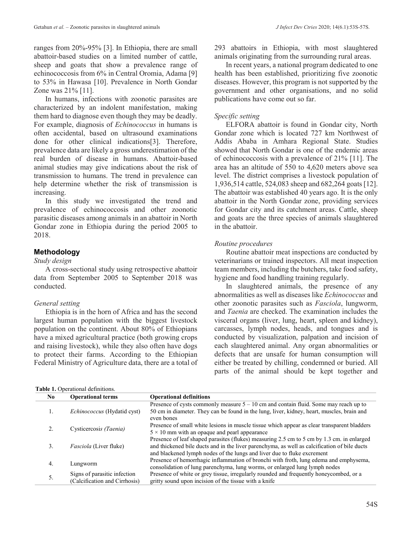ranges from 20%-95% [3]. In Ethiopia, there are small abattoir-based studies on a limited number of cattle, sheep and goats that show a prevalence range of echinococcosis from 6% in Central Oromia, Adama [9] to 53% in Hawasa [10]. Prevalence in North Gondar Zone was 21% [11].

In humans, infections with zoonotic parasites are characterized by an indolent manifestation, making them hard to diagnose even though they may be deadly. For example, diagnosis of *Echinococcus* in humans is often accidental, based on ultrasound examinations done for other clinical indications[3]. Therefore, prevalence data are likely a gross underestimation of the real burden of disease in humans. Abattoir-based animal studies may give indications about the risk of transmission to humans. The trend in prevalence can help determine whether the risk of transmission is increasing.

In this study we investigated the trend and prevalence of echinococcosis and other zoonotic parasitic diseases among animals in an abattoir in North Gondar zone in Ethiopia during the period 2005 to 2018.

## **Methodology**

*Study design*

A cross-sectional study using retrospective abattoir data from September 2005 to September 2018 was conducted.

## *General setting*

Ethiopia is in the horn of Africa and has the second largest human population with the biggest livestock population on the continent. About 80% of Ethiopians have a mixed agricultural practice (both growing crops and raising livestock), while they also often have dogs to protect their farms. According to the Ethiopian Federal Ministry of Agriculture data, there are a total of

#### **Table 1.** Operational definitions.

293 abattoirs in Ethiopia, with most slaughtered animals originating from the surrounding rural areas.

In recent years, a national program dedicated to one health has been established, prioritizing five zoonotic diseases. However, this program is not supported by the government and other organisations, and no solid publications have come out so far.

## *Specific setting*

ELFORA abattoir is found in Gondar city, North Gondar zone which is located 727 km Northwest of Addis Ababa in Amhara Regional State. Studies showed that North Gondar is one of the endemic areas of echinococcosis with a prevalence of 21% [11]. The area has an altitude of 550 to 4,620 meters above sea level. The district comprises a livestock population of 1,936,514 cattle, 524,083 sheep and 682,264 goats [12]. The abattoir was established 40 years ago. It is the only abattoir in the North Gondar zone, providing services for Gondar city and its catchment areas. Cattle, sheep and goats are the three species of animals slaughtered in the abattoir.

## *Routine procedures*

Routine abattoir meat inspections are conducted by veterinarians or trained inspectors. All meat inspection team members, including the butchers, take food safety, hygiene and food handling training regularly.

In slaughtered animals, the presence of any abnormalities as well as diseases like *Echinococcus* and other zoonotic parasites such as *Fasciola*, lungworm, and *Taenia* are checked. The examination includes the visceral organs (liver, lung, heart, spleen and kidney), carcasses, lymph nodes, heads, and tongues and is conducted by visualization, palpation and incision of each slaughtered animal. Any organ abnormalities or defects that are unsafe for human consumption will either be treated by chilling, condemned or buried. All parts of the animal should be kept together and

| No. | <b>Operational terms</b>           | <b>Operational definitions</b>                                                                           |
|-----|------------------------------------|----------------------------------------------------------------------------------------------------------|
|     |                                    | Presence of cysts commonly measure $5 - 10$ cm and contain fluid. Some may reach up to                   |
| ı.  | <i>Echinococcus</i> (Hydatid cyst) | 50 cm in diameter. They can be found in the lung, liver, kidney, heart, muscles, brain and<br>even bones |
|     | Cysticercosis (Taenia)             | Presence of small white lesions in muscle tissue which appear as clear transparent bladders              |
|     |                                    |                                                                                                          |
|     |                                    | $5 \times 10$ mm with an opaque and pearl appearance                                                     |
|     |                                    | Presence of leaf shaped parasites (flukes) measuring 2.5 cm to 5 cm by 1.3 cm. in enlarged               |
| 3.  | <i>Fasciola</i> (Liver fluke)      |                                                                                                          |
|     |                                    | and thickened bile ducts and in the liver parenchyma, as well as calcification of bile ducts             |
|     |                                    | and blackened lymph nodes of the lungs and liver due to fluke excrement                                  |
| 4.  | Lungworm                           | Presence of hemorrhagic inflammation of bronchi with froth, lung edema and emphysema,                    |
|     |                                    |                                                                                                          |
|     |                                    | consolidation of lung parenchyma, lung worms, or enlarged lung lymph nodes                               |
| 5.  | Signs of parasitic infection       | Presence of white or grey tissue, irregularly rounded and frequently honeycombed, or a                   |
|     | (Calcification and Cirrhosis)      | gritty sound upon incision of the tissue with a knife                                                    |
|     |                                    |                                                                                                          |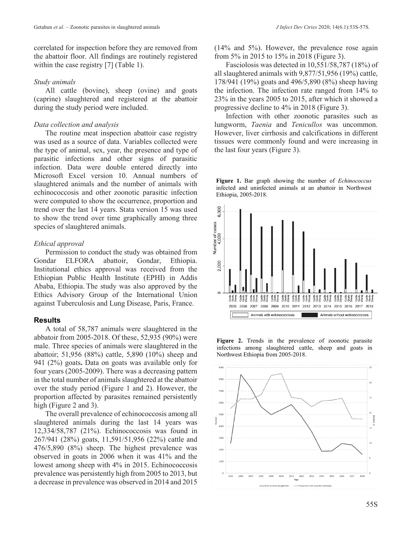#### *Study animals*

All cattle (bovine), sheep (ovine) and goats (caprine) slaughtered and registered at the abattoir during the study period were included.

## *Data collection and analysis*

The routine meat inspection abattoir case registry was used as a source of data. Variables collected were the type of animal, sex, year, the presence and type of parasitic infections and other signs of parasitic infection. Data were double entered directly into Microsoft Excel version 10. Annual numbers of slaughtered animals and the number of animals with echinococcosis and other zoonotic parasitic infection were computed to show the occurrence, proportion and trend over the last 14 years. Stata version 15 was used to show the trend over time graphically among three species of slaughtered animals.

## *Ethical approval*

Permission to conduct the study was obtained from Gondar ELFORA abattoir, Gondar, Ethiopia. Institutional ethics approval was received from the Ethiopian Public Health Institute (EPHI) in Addis Ababa, Ethiopia. The study was also approved by the Ethics Advisory Group of the International Union against Tuberculosis and Lung Disease, Paris, France.

## **Results**

A total of 58,787 animals were slaughtered in the abbatoir from 2005-2018. Of these, 52,935 (90%) were male. Three species of animals were slaughtered in the abattoir; 51,956 (88%) cattle, 5,890 (10%) sheep and 941 (2%) goats**.** Data on goats was available only for four years (2005-2009). There was a decreasing pattern in the total number of animals slaughtered at the abattoir over the study period (Figure 1 and 2). However, the proportion affected by parasites remained persistently high (Figure 2 and 3).

The overall prevalence of echinococcosis among all slaughtered animals during the last 14 years was 12,334/58,787 (21%). Echinococcosis was found in 267/941 (28%) goats, 11,591/51,956 (22%) cattle and 476/5,890 (8%) sheep. The highest prevalence was observed in goats in 2006 when it was 41% and the lowest among sheep with 4% in 2015. Echinococcosis prevalence was persistently high from 2005 to 2013, but a decrease in prevalence was observed in 2014 and 2015 (14% and 5%). However, the prevalence rose again from 5% in 2015 to 15% in 2018 (Figure 3).

Fasciolosis was detected in 10,551/58,787 (18%) of all slaughtered animals with 9,877/51,956 (19%) cattle, 178/941 (19%) goats and 496/5,890 (8%) sheep having the infection. The infection rate ranged from 14% to 23% in the years 2005 to 2015, after which it showed a progressive decline to 4% in 2018 (Figure 3).

Infection with other zoonotic parasites such as lungworm, *Taenia* and *Tenicullos* was uncommon. However, liver cirrhosis and calcifications in different tissues were commonly found and were increasing in the last four years (Figure 3).





**Figure 2.** Trends in the prevalence of zoonotic parasite infections among slaughtered cattle, sheep and goats in Northwest Ethiopia from 2005-2018.

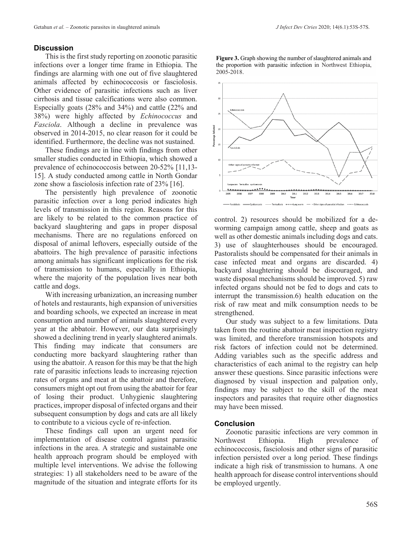#### **Discussion**

This is the first study reporting on zoonotic parasitic infections over a longer time frame in Ethiopia. The findings are alarming with one out of five slaughtered animals affected by echinococcosis or fasciolosis. Other evidence of parasitic infections such as liver cirrhosis and tissue calcifications were also common. Especially goats (28% and 34%) and cattle (22% and 38%) were highly affected by *Echinococcus* and *Fasciola*. Although a decline in prevalence was observed in 2014-2015, no clear reason for it could be identified. Furthermore, the decline was not sustained.

These findings are in line with findings from other smaller studies conducted in Ethiopia, which showed a prevalence of echinococcosis between 20-52% [11,13- 15]. A study conducted among cattle in North Gondar zone show a fasciolosis infection rate of 23% [16].

The persistently high prevalence of zoonotic parasitic infection over a long period indicates high levels of transmission in this region. Reasons for this are likely to be related to the common practice of backyard slaughtering and gaps in proper disposal mechanisms. There are no regulations enforced on disposal of animal leftovers, especially outside of the abattoirs. The high prevalence of parasitic infections among animals has significant implications for the risk of transmission to humans, especially in Ethiopia, where the majority of the population lives near both cattle and dogs.

With increasing urbanization, an increasing number of hotels and restaurants, high expansion of universities and boarding schools, we expected an increase in meat consumption and number of animals slaughtered every year at the abbatoir. However, our data surprisingly showed a declining trend in yearly slaughtered animals. This finding may indicate that consumers are conducting more backyard slaughtering rather than using the abattoir. A reason for this may be that the high rate of parasitic infections leads to increasing rejection rates of organs and meat at the abattoir and therefore, consumers might opt out from using the abattoir for fear of losing their product. Unhygienic slaughtering practices, improper disposal of infected organs and their subsequent consumption by dogs and cats are all likely to contribute to a vicious cycle of re-infection.

These findings call upon an urgent need for implementation of disease control against parasitic infections in the area. A strategic and sustainable one health approach program should be employed with multiple level interventions. We advise the following strategies: 1) all stakeholders need to be aware of the magnitude of the situation and integrate efforts for its

**Figure 3.** Graph showing the number of slaughtered animals and the proportion with parasitic infection in Northwest Ethiopia, 2005-2018.



control. 2) resources should be mobilized for a deworming campaign among cattle, sheep and goats as well as other domestic animals including dogs and cats. 3) use of slaughterhouses should be encouraged. Pastoralists should be compensated for their animals in case infected meat and organs are discarded. 4) backyard slaughtering should be discouraged, and waste disposal mechanisms should be improved. 5) raw infected organs should not be fed to dogs and cats to interrupt the transmission.6) health education on the risk of raw meat and milk consumption needs to be strengthened.

Our study was subject to a few limitations. Data taken from the routine abattoir meat inspection registry was limited, and therefore transmission hotspots and risk factors of infection could not be determined. Adding variables such as the specific address and characteristics of each animal to the registry can help answer these questions. Since parasitic infections were diagnosed by visual inspection and palpation only, findings may be subject to the skill of the meat inspectors and parasites that require other diagnostics may have been missed.

#### **Conclusion**

Zoonotic parasitic infections are very common in Northwest Ethiopia. High prevalence of echinococcosis, fasciolosis and other signs of parasitic infection persisted over a long period. These findings indicate a high risk of transmission to humans. A one health approach for disease control interventions should be employed urgently.